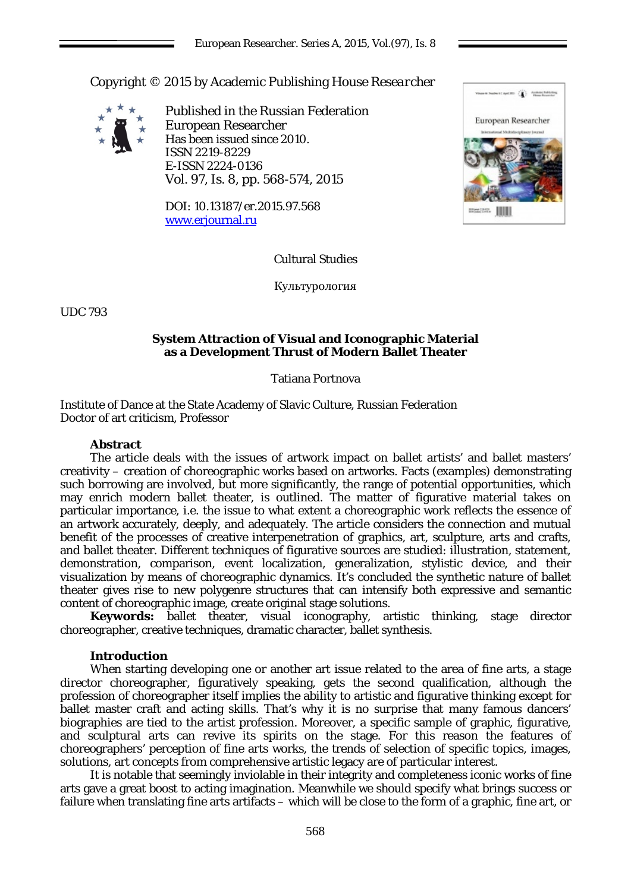Copyright © 2015 by Academic Publishing House *Researcher*



Published in the Russian Federation European Researcher Has been issued since 2010. ISSN 2219-8229 E-ISSN 2224-0136 Vol. 97, Is. 8, pp. 568-574, 2015

DOI: 10.13187/er.2015.97.568 [www.erjournal.ru](http://www.erjournal.ru/)



## Cultural Studies

Культурология

UDC 793

### **System Attraction of Visual and Iconographic Material as a Development Thrust of Modern Ballet Theater**

### Tatiana Portnova

Institute of Dance at the State Academy of Slavic Culture, Russian Federation Doctor of art criticism, Professor

#### **Abstract**

The article deals with the issues of artwork impact on ballet artists' and ballet masters' creativity – creation of choreographic works based on artworks. Facts (examples) demonstrating such borrowing are involved, but more significantly, the range of potential opportunities, which may enrich modern ballet theater, is outlined. The matter of figurative material takes on particular importance, i.e. the issue to what extent a choreographic work reflects the essence of an artwork accurately, deeply, and adequately. The article considers the connection and mutual benefit of the processes of creative interpenetration of graphics, art, sculpture, arts and crafts, and ballet theater. Different techniques of figurative sources are studied: illustration, statement, demonstration, comparison, event localization, generalization, stylistic device, and their visualization by means of choreographic dynamics. It's concluded the synthetic nature of ballet theater gives rise to new polygenre structures that can intensify both expressive and semantic content of choreographic image, create original stage solutions.

**Keywords:** ballet theater, visual iconography, artistic thinking, stage director choreographer, creative techniques, dramatic character, ballet synthesis.

## **Introduction**

When starting developing one or another art issue related to the area of fine arts, a stage director choreographer, figuratively speaking, gets the second qualification, although the profession of choreographer itself implies the ability to artistic and figurative thinking except for ballet master craft and acting skills. That's why it is no surprise that many famous dancers' biographies are tied to the artist profession. Moreover, a specific sample of graphic, figurative, and sculptural arts can revive its spirits on the stage. For this reason the features of choreographers' perception of fine arts works, the trends of selection of specific topics, images, solutions, art concepts from comprehensive artistic legacy are of particular interest.

It is notable that seemingly inviolable in their integrity and completeness iconic works of fine arts gave a great boost to acting imagination. Meanwhile we should specify what brings success or failure when translating fine arts artifacts – which will be close to the form of a graphic, fine art, or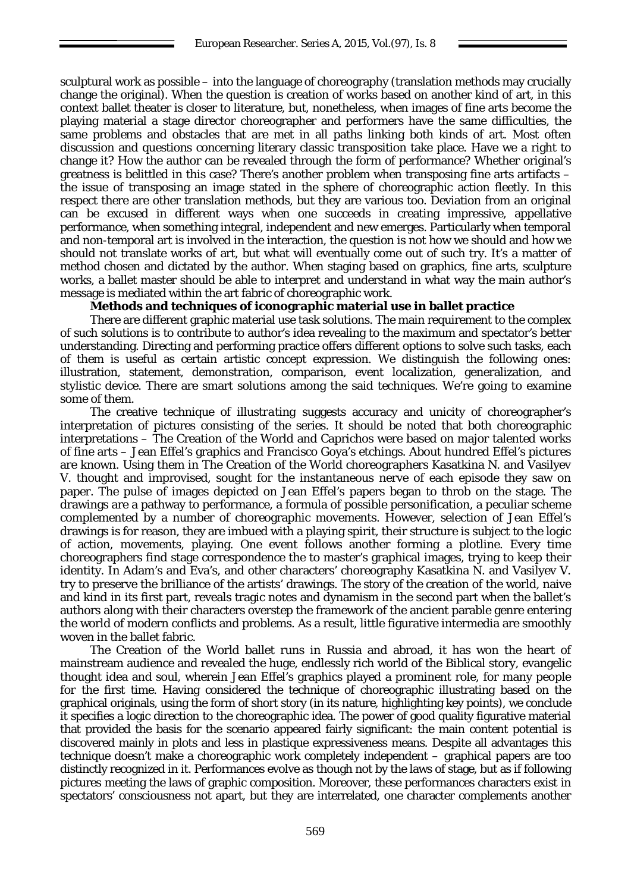sculptural work as possible – into the language of choreography (translation methods may crucially change the original). When the question is creation of works based on another kind of art, in this context ballet theater is closer to literature, but, nonetheless, when images of fine arts become the playing material a stage director choreographer and performers have the same difficulties, the same problems and obstacles that are met in all paths linking both kinds of art. Most often discussion and questions concerning literary classic transposition take place. Have we a right to change it? How the author can be revealed through the form of performance? Whether original's greatness is belittled in this case? There's another problem when transposing fine arts artifacts – the issue of transposing an image stated in the sphere of choreographic action fleetly. In this respect there are other translation methods, but they are various too. Deviation from an original can be excused in different ways when one succeeds in creating impressive, appellative performance, when something integral, independent and new emerges. Particularly when temporal and non-temporal art is involved in the interaction, the question is not how we should and how we should not translate works of art, but what will eventually come out of such try. It's a matter of method chosen and dictated by the author. When staging based on graphics, fine arts, sculpture works, a ballet master should be able to interpret and understand in what way the main author's message is mediated within the art fabric of choreographic work.

## **Methods and techniques of iconographic material use in ballet practice**

There are different graphic material use task solutions. The main requirement to the complex of such solutions is to contribute to author's idea revealing to the maximum and spectator's better understanding. Directing and performing practice offers different options to solve such tasks, each of them is useful as certain artistic concept expression. We distinguish the following ones: illustration, statement, demonstration, comparison, event localization, generalization, and stylistic device. There are smart solutions among the said techniques. We're going to examine some of them.

The creative technique of *illustrating* suggests accuracy and unicity of choreographer's interpretation of pictures consisting of the series. It should be noted that both choreographic interpretations – The Creation of the World and Caprichos were based on major talented works of fine arts – Jean Effel's graphics and Francisco Goya's etchings. About hundred Effel's pictures are known. Using them in The Creation of the World choreographers Kasatkina N. and Vasilyev V. thought and improvised, sought for the instantaneous nerve of each episode they saw on paper. The pulse of images depicted on Jean Effel's papers began to throb on the stage. The drawings are a pathway to performance, a formula of possible personification, a peculiar scheme complemented by a number of choreographic movements. However, selection of Jean Effel's drawings is for reason, they are imbued with a playing spirit, their structure is subject to the logic of action, movements, playing. One event follows another forming a plotline. Every time choreographers find stage correspondence the to master's graphical images, trying to keep their identity. In Adam's and Eva's, and other characters' choreography Kasatkina N. and Vasilyev V. try to preserve the brilliance of the artists' drawings. The story of the creation of the world, naive and kind in its first part, reveals tragic notes and dynamism in the second part when the ballet's authors along with their characters overstep the framework of the ancient parable genre entering the world of modern conflicts and problems. As a result, little figurative intermedia are smoothly woven in the ballet fabric.

The Creation of the World ballet runs in Russia and abroad, it has won the heart of mainstream audience and revealed the huge, endlessly rich world of the Biblical story, evangelic thought idea and soul, wherein Jean Effel's graphics played a prominent role, for many people for the first time. Having considered the technique of choreographic illustrating based on the graphical originals, using the form of short story (in its nature, highlighting key points), we conclude it specifies a logic direction to the choreographic idea. The power of good quality figurative material that provided the basis for the scenario appeared fairly significant: the main content potential is discovered mainly in plots and less in plastique expressiveness means. Despite all advantages this technique doesn't make a choreographic work completely independent – graphical papers are too distinctly recognized in it. Performances evolve as though not by the laws of stage, but as if following pictures meeting the laws of graphic composition. Moreover, these performances characters exist in spectators' consciousness not apart, but they are interrelated, one character complements another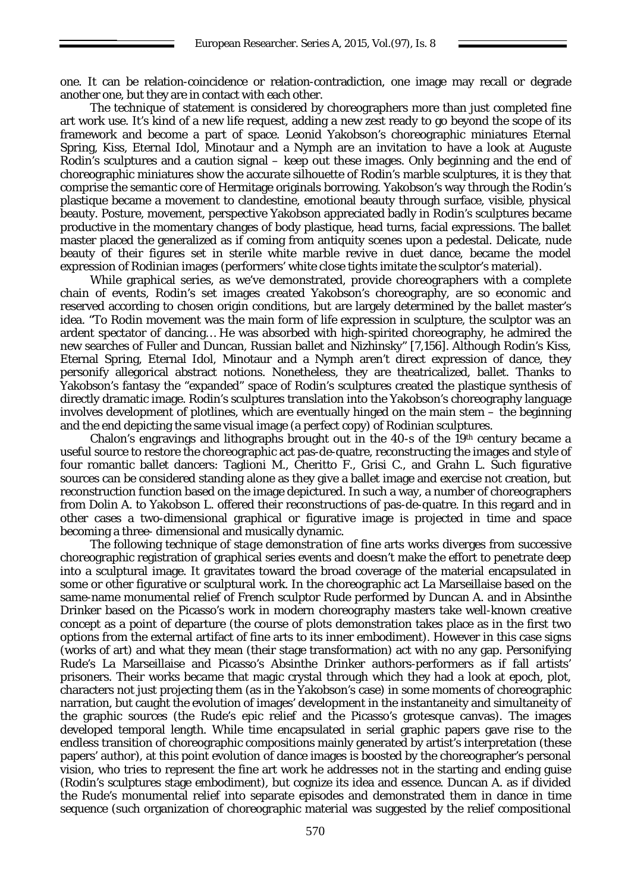one. It can be relation-coincidence or relation-contradiction, one image may recall or degrade another one, but they are in contact with each other.

The technique of statement is considered by choreographers more than just completed fine art work use. It's kind of a new life request, adding a new zest ready to go beyond the scope of its framework and become a part of space. Leonid Yakobson's choreographic miniatures Eternal Spring, Kiss, Eternal Idol, Minotaur and a Nymph are an invitation to have a look at Auguste Rodin's sculptures and a caution signal – keep out these images. Only beginning and the end of choreographic miniatures show the accurate silhouette of Rodin's marble sculptures, it is they that comprise the semantic core of Hermitage originals borrowing. Yakobson's way through the Rodin's plastique became a movement to clandestine, emotional beauty through surface, visible, physical beauty. Posture, movement, perspective Yakobson appreciated badly in Rodin's sculptures became productive in the momentary changes of body plastique, head turns, facial expressions. The ballet master placed the generalized as if coming from antiquity scenes upon a pedestal. Delicate, nude beauty of their figures set in sterile white marble revive in duet dance, became the model expression of Rodinian images (performers' white close tights imitate the sculptor's material).

While graphical series, as we've demonstrated, provide choreographers with a complete chain of events, Rodin's set images created Yakobson's choreography, are so economic and reserved according to chosen origin conditions, but are largely determined by the ballet master's idea. "To Rodin movement was the main form of life expression in sculpture, the sculptor was an ardent spectator of dancing… He was absorbed with high-spirited choreography, he admired the new searches of Fuller and Duncan, Russian ballet and Nizhinsky" [7,156]. Although Rodin's Kiss, Eternal Spring, Eternal Idol, Minotaur and a Nymph aren't direct expression of dance, they personify allegorical abstract notions. Nonetheless, they are theatricalized, ballet. Thanks to Yakobson's fantasy the "expanded" space of Rodin's sculptures created the plastique synthesis of directly dramatic image. Rodin's sculptures translation into the Yakobson's choreography language involves development of plotlines, which are eventually hinged on the main stem – the beginning and the end depicting the same visual image (a perfect copy) of Rodinian sculptures.

Chalon's engravings and lithographs brought out in the  $40-s$  of the 19<sup>th</sup> century became a useful source to restore the choreographic act pas-de-quatre, reconstructing the images and style of four romantic ballet dancers: Taglioni M., Cheritto F., Grisi C., and Grahn L. Such figurative sources can be considered standing alone as they give a ballet image and exercise not creation, but reconstruction function based on the image depictured. In such a way, a number of choreographers from Dolin A. to Yakobson L. offered their reconstructions of pas-de-quatre. In this regard and in other cases a two-dimensional graphical or figurative image is projected in time and space becoming a three- dimensional and musically dynamic.

The following technique of *stage demonstration* of fine arts works diverges from successive choreographic registration of graphical series events and doesn't make the effort to penetrate deep into a sculptural image. It gravitates toward the broad coverage of the material encapsulated in some or other figurative or sculptural work. In the choreographic act La Marseillaise based on the same-name monumental relief of French sculptor Rude performed by Duncan A. and in Absinthe Drinker based on the Picasso's work in modern choreography masters take well-known creative concept as a point of departure (the course of plots demonstration takes place as in the first two options from the external artifact of fine arts to its inner embodiment). However in this case signs (works of art) and what they mean (their stage transformation) act with no any gap. Personifying Rude's La Marseillaise and Picasso's Absinthe Drinker authors-performers as if fall artists' prisoners. Their works became that magic crystal through which they had a look at epoch, plot, characters not just projecting them (as in the Yakobson's case) in some moments of choreographic narration, but caught the evolution of images' development in the instantaneity and simultaneity of the graphic sources (the Rude's epic relief and the Picasso's grotesque canvas). The images developed temporal length. While time encapsulated in serial graphic papers gave rise to the endless transition of choreographic compositions mainly generated by artist's interpretation (these papers' author), at this point evolution of dance images is boosted by the choreographer's personal vision, who tries to represent the fine art work he addresses not in the starting and ending guise (Rodin's sculptures stage embodiment), but cognize its idea and essence. Duncan A. as if divided the Rude's monumental relief into separate episodes and demonstrated them in dance in time sequence (such organization of choreographic material was suggested by the relief compositional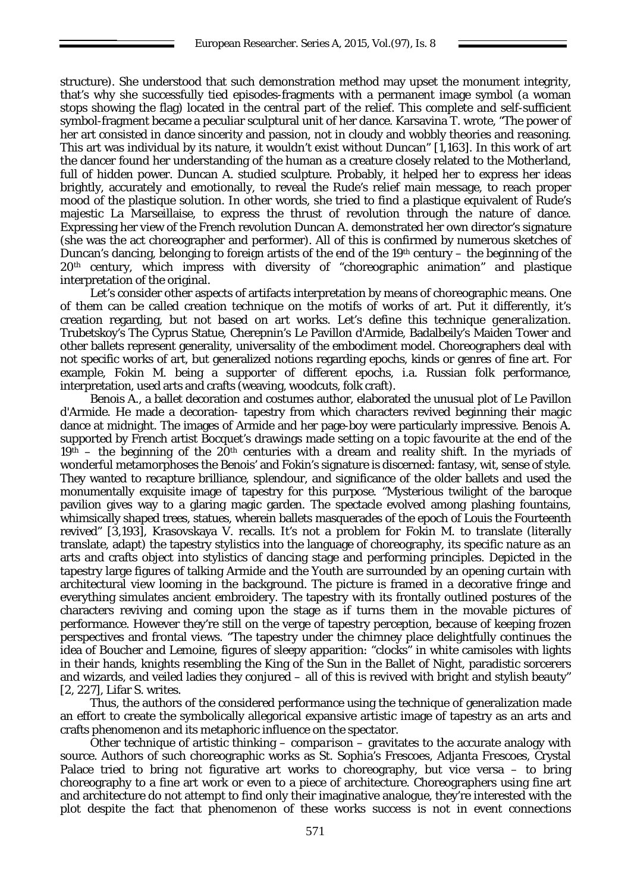structure). She understood that such demonstration method may upset the monument integrity, that's why she successfully tied episodes-fragments with a permanent image symbol (a woman stops showing the flag) located in the central part of the relief. This complete and self-sufficient symbol-fragment became a peculiar sculptural unit of her dance. Karsavina T. wrote, "The power of her art consisted in dance sincerity and passion, not in cloudy and wobbly theories and reasoning. This art was individual by its nature, it wouldn't exist without Duncan" [1,163]. In this work of art the dancer found her understanding of the human as a creature closely related to the Motherland, full of hidden power. Duncan A. studied sculpture. Probably, it helped her to express her ideas brightly, accurately and emotionally, to reveal the Rude's relief main message, to reach proper mood of the plastique solution. In other words, she tried to find a plastique equivalent of Rude's majestic La Marseillaise, to express the thrust of revolution through the nature of dance. Expressing her view of the French revolution Duncan A. demonstrated her own director's signature (she was the act choreographer and performer). All of this is confirmed by numerous sketches of Duncan's dancing, belonging to foreign artists of the end of the  $19<sup>th</sup>$  century – the beginning of the 20th century, which impress with diversity of "choreographic animation" and plastique interpretation of the original.

Let's consider other aspects of artifacts interpretation by means of choreographic means. One of them can be called creation technique on the motifs of works of art. Put it differently, it's creation regarding, but not based on art works. Let's define this technique *generalization*. Trubetskoy's The Cyprus Statue, Cherepnin's Le Pavillon d'Armide, Badalbeily's Maiden Tower and other ballets represent generality, universality of the embodiment model. Choreographers deal with not specific works of art, but generalized notions regarding epochs, kinds or genres of fine art. For example, Fokin M. being a supporter of different epochs, i.a. Russian folk performance, interpretation, used arts and crafts (weaving, woodcuts, folk craft).

Benois A., a ballet decoration and costumes author, elaborated the unusual plot of Le Pavillon d'Armide. He made a decoration- tapestry from which characters revived beginning their magic dance at midnight. The images of Armide and her page-boy were particularly impressive. Benois A. supported by French artist Bocquet's drawings made setting on a topic favourite at the end of the  $19<sup>th</sup>$  – the beginning of the  $20<sup>th</sup>$  centuries with a dream and reality shift. In the myriads of wonderful metamorphoses the Benois' and Fokin's signature is discerned: fantasy, wit, sense of style. They wanted to recapture brilliance, splendour, and significance of the older ballets and used the monumentally exquisite image of tapestry for this purpose. "Mysterious twilight of the baroque pavilion gives way to a glaring magic garden. The spectacle evolved among plashing fountains, whimsically shaped trees, statues, wherein ballets masquerades of the epoch of Louis the Fourteenth revived" [3,193], Krasovskaya V. recalls. It's not a problem for Fokin M. to translate (literally translate, adapt) the tapestry stylistics into the language of choreography, its specific nature as an arts and crafts object into stylistics of dancing stage and performing principles. Depicted in the tapestry large figures of talking Armide and the Youth are surrounded by an opening curtain with architectural view looming in the background. The picture is framed in a decorative fringe and everything simulates ancient embroidery. The tapestry with its frontally outlined postures of the characters reviving and coming upon the stage as if turns them in the movable pictures of performance. However they're still on the verge of tapestry perception, because of keeping frozen perspectives and frontal views. "The tapestry under the chimney place delightfully continues the idea of Boucher and Lemoine, figures of sleepy apparition: "clocks" in white camisoles with lights in their hands, knights resembling the King of the Sun in the Ballet of Night, paradistic sorcerers and wizards, and veiled ladies they conjured – all of this is revived with bright and stylish beauty" [2, 227], Lifar S. writes.

Thus, the authors of the considered performance using the technique of generalization made an effort to create the symbolically allegorical expansive artistic image of tapestry as an arts and crafts phenomenon and its metaphoric influence on the spectator.

Other technique of artistic thinking – *comparison* – gravitates to the accurate analogy with source. Authors of such choreographic works as St. Sophia's Frescoes, Adjanta Frescoes, Crystal Palace tried to bring not figurative art works to choreography, but vice versa – to bring choreography to a fine art work or even to a piece of architecture. Choreographers using fine art and architecture do not attempt to find only their imaginative analogue, they're interested with the plot despite the fact that phenomenon of these works success is not in event connections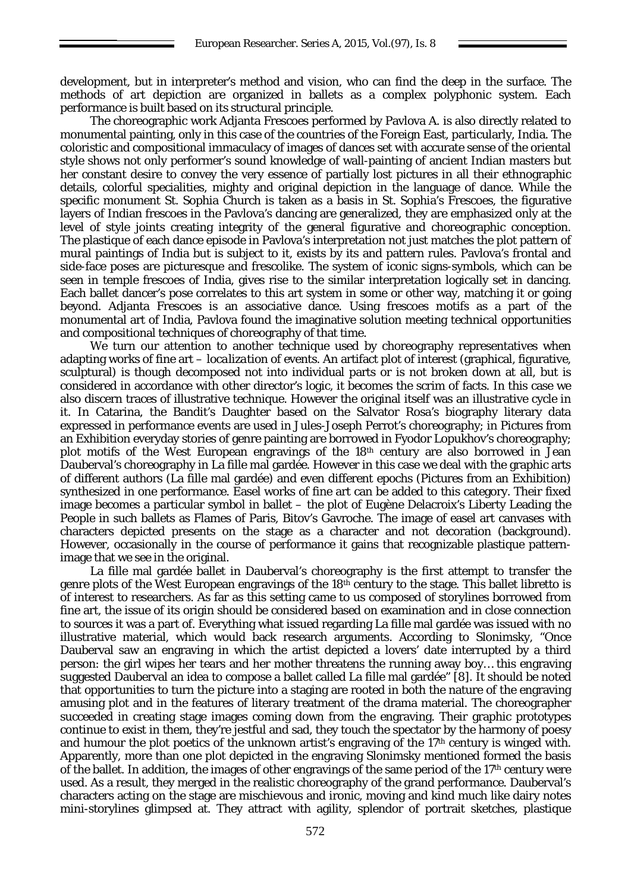development, but in interpreter's method and vision, who can find the deep in the surface. The methods of art depiction are organized in ballets as a complex polyphonic system. Each performance is built based on its structural principle.

The choreographic work Adjanta Frescoes performed by Pavlova A. is also directly related to monumental painting, only in this case of the countries of the Foreign East, particularly, India. The coloristic and compositional immaculacy of images of dances set with accurate sense of the oriental style shows not only performer's sound knowledge of wall-painting of ancient Indian masters but her constant desire to convey the very essence of partially lost pictures in all their ethnographic details, colorful specialities, mighty and original depiction in the language of dance. While the specific monument St. Sophia Church is taken as a basis in St. Sophia's Frescoes, the figurative layers of Indian frescoes in the Pavlova's dancing are generalized, they are emphasized only at the level of style joints creating integrity of the general figurative and choreographic conception. The plastique of each dance episode in Pavlova's interpretation not just matches the plot pattern of mural paintings of India but is subject to it, exists by its and pattern rules. Pavlova's frontal and side-face poses are picturesque and frescolike. The system of iconic signs-symbols, which can be seen in temple frescoes of India, gives rise to the similar interpretation logically set in dancing. Each ballet dancer's pose correlates to this art system in some or other way, matching it or going beyond. Adjanta Frescoes is an associative dance. Using frescoes motifs as a part of the monumental art of India, Pavlova found the imaginative solution meeting technical opportunities and compositional techniques of choreography of that time.

We turn our attention to another technique used by choreography representatives when adapting works of fine art – *localization* of events. An artifact plot of interest (graphical, figurative, sculptural) is though decomposed not into individual parts or is not broken down at all, but is considered in accordance with other director's logic, it becomes the scrim of facts. In this case we also discern traces of illustrative technique. However the original itself was an illustrative cycle in it. In Catarina, the Bandit's Daughter based on the Salvator Rosa's biography literary data expressed in performance events are used in Jules-Joseph Perrot's choreography; in Pictures from an Exhibition everyday stories of genre painting are borrowed in Fyodor Lopukhov's choreography; plot motifs of the West European engravings of the 18th century are also borrowed in Jean Dauberval's choreography in La fille mal gardée. However in this case we deal with the graphic arts of different authors (La fille mal gardée) and even different epochs (Pictures from an Exhibition) synthesized in one performance. Easel works of fine art can be added to this category. Their fixed image becomes a particular symbol in ballet – the plot of Eugène Delacroix's Liberty Leading the People in such ballets as Flames of Paris, Bitov's Gavroche. The image of easel art canvases with characters depicted presents on the stage as a character and not decoration (background). However, occasionally in the course of performance it gains that recognizable plastique patternimage that we see in the original.

La fille mal gardée ballet in Dauberval's choreography is the first attempt to transfer the genre plots of the West European engravings of the 18th century to the stage. This ballet libretto is of interest to researchers. As far as this setting came to us composed of storylines borrowed from fine art, the issue of its origin should be considered based on examination and in close connection to sources it was a part of. Everything what issued regarding La fille mal gardée was issued with no illustrative material, which would back research arguments. According to Slonimsky, "Once Dauberval saw an engraving in which the artist depicted a lovers' date interrupted by a third person: the girl wipes her tears and her mother threatens the running away boy… this engraving suggested Dauberval an idea to compose a ballet called La fille mal gardée" [8]. It should be noted that opportunities to turn the picture into a staging are rooted in both the nature of the engraving amusing plot and in the features of literary treatment of the drama material. The choreographer succeeded in creating stage images coming down from the engraving. Their graphic prototypes continue to exist in them, they're jestful and sad, they touch the spectator by the harmony of poesy and humour the plot poetics of the unknown artist's engraving of the 17<sup>th</sup> century is winged with. Apparently, more than one plot depicted in the engraving Slonimsky mentioned formed the basis of the ballet. In addition, the images of other engravings of the same period of the  $17<sup>th</sup>$  century were used. As a result, they merged in the realistic choreography of the grand performance. Dauberval's characters acting on the stage are mischievous and ironic, moving and kind much like dairy notes mini-storylines glimpsed at. They attract with agility, splendor of portrait sketches, plastique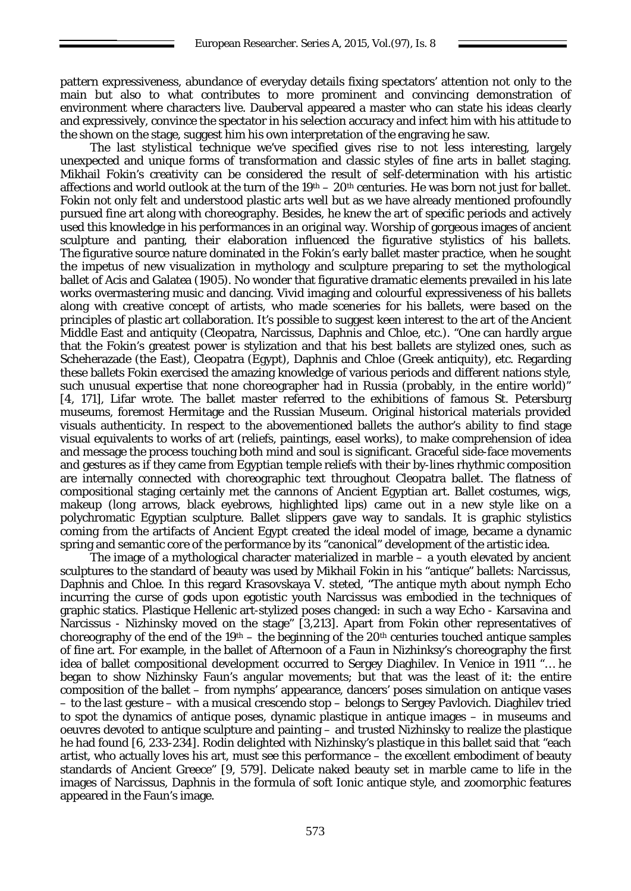pattern expressiveness, abundance of everyday details fixing spectators' attention not only to the main but also to what contributes to more prominent and convincing demonstration of environment where characters live. Dauberval appeared a master who can state his ideas clearly and expressively, convince the spectator in his selection accuracy and infect him with his attitude to the shown on the stage, suggest him his own interpretation of the engraving he saw.

The last *stylistical* technique we've specified gives rise to not less interesting, largely unexpected and unique forms of transformation and classic styles of fine arts in ballet staging. Mikhail Fokin's creativity can be considered the result of self-determination with his artistic affections and world outlook at the turn of the  $19<sup>th</sup> - 20<sup>th</sup>$  centuries. He was born not just for ballet. Fokin not only felt and understood plastic arts well but as we have already mentioned profoundly pursued fine art along with choreography. Besides, he knew the art of specific periods and actively used this knowledge in his performances in an original way. Worship of gorgeous images of ancient sculpture and panting, their elaboration influenced the figurative stylistics of his ballets. The figurative source nature dominated in the Fokin's early ballet master practice, when he sought the impetus of new visualization in mythology and sculpture preparing to set the mythological ballet of Acis and Galatea (1905). No wonder that figurative dramatic elements prevailed in his late works overmastering music and dancing. Vivid imaging and colourful expressiveness of his ballets along with creative concept of artists, who made sceneries for his ballets, were based on the principles of plastic art collaboration. It's possible to suggest keen interest to the art of the Ancient Middle East and antiquity (Cleopatra, Narcissus, Daphnis and Chloe, etc.). "One can hardly argue that the Fokin's greatest power is stylization and that his best ballets are stylized ones, such as Scheherazade (the East), Cleopatra (Egypt), Daphnis and Chloe (Greek antiquity), etc. Regarding these ballets Fokin exercised the amazing knowledge of various periods and different nations style, such unusual expertise that none choreographer had in Russia (probably, in the entire world)" [4, 171], Lifar wrote. The ballet master referred to the exhibitions of famous St. Petersburg museums, foremost Hermitage and the Russian Museum. Original historical materials provided visuals authenticity. In respect to the abovementioned ballets the author's ability to find stage visual equivalents to works of art (reliefs, paintings, easel works), to make comprehension of idea and message the process touching both mind and soul is significant. Graceful side-face movements and gestures as if they came from Egyptian temple reliefs with their by-lines rhythmic composition are internally connected with choreographic text throughout Cleopatra ballet. The flatness of compositional staging certainly met the cannons of Ancient Egyptian art. Ballet costumes, wigs, makeup (long arrows, black eyebrows, highlighted lips) came out in a new style like on a polychromatic Egyptian sculpture. Ballet slippers gave way to sandals. It is graphic stylistics coming from the artifacts of Ancient Egypt created the ideal model of image, became a dynamic spring and semantic core of the performance by its "canonical" development of the artistic idea.

The image of a mythological character materialized in marble – a youth elevated by ancient sculptures to the standard of beauty was used by Mikhail Fokin in his "antique" ballets: Narcissus, Daphnis and Chloe. In this regard Krasovskaya V. steted, "The antique myth about nymph Echo incurring the curse of gods upon egotistic youth Narcissus was embodied in the techniques of graphic statics. Plastique Hellenic art-stylized poses changed: in such a way Echo - Karsavina and Narcissus - Nizhinsky moved on the stage" [3,213]. Apart from Fokin other representatives of choreography of the end of the  $19<sup>th</sup> -$  the beginning of the  $20<sup>th</sup>$  centuries touched antique samples of fine art. For example, in the ballet of Afternoon of a Faun in Nizhinksy's choreography the first idea of ballet compositional development occurred to Sergey Diaghilev. In Venice in 1911 "… he began to show Nizhinsky Faun's angular movements; but that was the least of it: the entire composition of the ballet – from nymphs' appearance, dancers' poses simulation on antique vases – to the last gesture – with a musical crescendo stop – belongs to Sergey Pavlovich. Diaghilev tried to spot the dynamics of antique poses, dynamic plastique in antique images – in museums and oeuvres devoted to antique sculpture and painting – and trusted Nizhinsky to realize the plastique he had found [6, 233-234]. Rodin delighted with Nizhinsky's plastique in this ballet said that "each artist, who actually loves his art, must see this performance – the excellent embodiment of beauty standards of Ancient Greece" [9, 579]. Delicate naked beauty set in marble came to life in the images of Narcissus, Daphnis in the formula of soft Ionic antique style, and zoomorphic features appeared in the Faun's image.